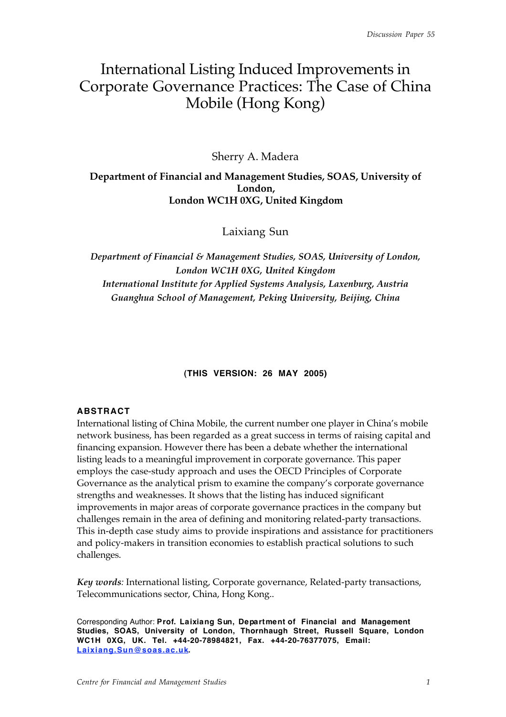# International Listing Induced Improvements in Corporate Governance Practices: The Case of China Mobile (Hong Kong)

# Sherry A. Madera

## **Department of Financial and Management Studies, SOAS, University of London, London WC1H 0XG, United Kingdom**

## Laixiang Sun

*Department of Financial & Management Studies, SOAS, University of London, London WC1H 0XG, United Kingdom International Institute for Applied Systems Analysis, Laxenburg, Austria Guanghua School of Management, Peking University, Beijing, China*

**(THIS VERSION: 26 MAY 2005)**

#### **ABSTRACT**

International listing of China Mobile, the current number one player in China's mobile network business, has been regarded as a great success in terms of raising capital and financing expansion. However there has been a debate whether the international listing leads to a meaningful improvement in corporate governance. This paper employs the case-study approach and uses the OECD Principles of Corporate Governance as the analytical prism to examine the company's corporate governance strengths and weaknesses. It shows that the listing has induced significant improvements in major areas of corporate governance practices in the company but challenges remain in the area of defining and monitoring related-party transactions. This in-depth case study aims to provide inspirations and assistance for practitioners and policy-makers in transition economies to establish practical solutions to such challenges.

*Key words:* International listing, Corporate governance, Related-party transactions, Telecommunications sector, China, Hong Kong..

Corresponding Author: **Prof. Laixiang Sun, Department of Financial and Management Studies, SOAS, University of London, Thornhaugh Street, Russell Square, London WC1H 0XG, UK. Tel. +44-20-78984821, Fax. +44-20-76377075, Email: Laixiang.Sun@soas.ac.uk .**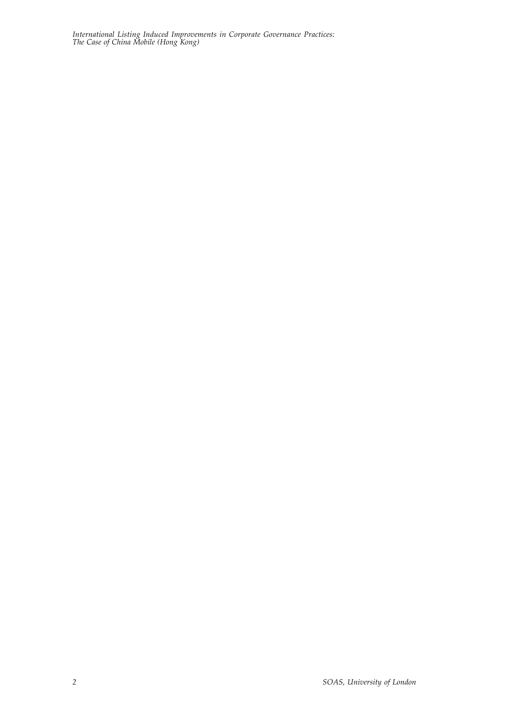*International Listing Induced Improvements in Corporate Governance Practices: The Case of China Mobile (Hong Kong)*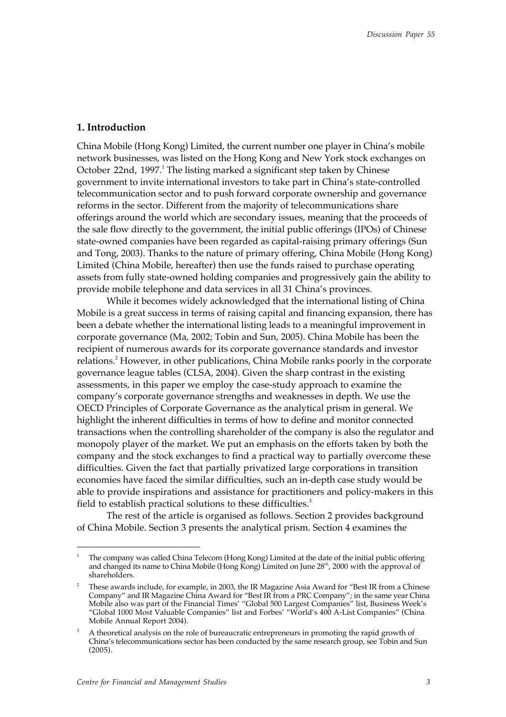### **1. Introduction**

China Mobile (Hong Kong) Limited, the current number one player in China's mobile network businesses, was listed on the Hong Kong and New York stock exchanges on October 22nd, 1997.<sup>1</sup> The listing marked a significant step taken by Chinese government to invite international investors to take part in China's state-controlled telecommunication sector and to push forward corporate ownership and governance reforms in the sector. Different from the majority of telecommunications share offerings around the world which are secondary issues, meaning that the proceeds of the sale flow directly to the government, the initial public offerings (IPOs) of Chinese state-owned companies have been regarded as capital-raising primary offerings (Sun and Tong, 2003). Thanks to the nature of primary offering, China Mobile (Hong Kong) Limited (China Mobile, hereafter) then use the funds raised to purchase operating assets from fully state-owned holding companies and progressively gain the ability to provide mobile telephone and data services in all 31 China's provinces.

While it becomes widely acknowledged that the international listing of China Mobile is a great success in terms of raising capital and financing expansion, there has been a debate whether the international listing leads to a meaningful improvement in corporate governance (Ma, 2002; Tobin and Sun, 2005). China Mobile has been the recipient of numerous awards for its corporate governance standards and investor relations.<sup>2</sup> However, in other publications, China Mobile ranks poorly in the corporate governance league tables (CLSA, 2004). Given the sharp contrast in the existing assessments, in this paper we employ the case-study approach to examine the company's corporate governance strengths and weaknesses in depth. We use the OECD Principles of Corporate Governance as the analytical prism in general. We highlight the inherent difficulties in terms of how to define and monitor connected transactions when the controlling shareholder of the company is also the regulator and monopoly player of the market. We put an emphasis on the efforts taken by both the company and the stock exchanges to find a practical way to partially overcome these difficulties. Given the fact that partially privatized large corporations in transition economies have faced the similar difficulties, such an in-depth case study would be able to provide inspirations and assistance for practitioners and policy-makers in this field to establish practical solutions to these difficulties. $3$ 

The rest of the article is organised as follows. Section 2 provides background of China Mobile. Section 3 presents the analytical prism. Section 4 examines the

<sup>1</sup> The company was called China Telecom (Hong Kong) Limited at the date of the initial public offering and changed its name to China Mobile (Hong Kong) Limited on June 28<sup>th</sup>, 2000 with the approval of shareholders.

<sup>2</sup> These awards include, for example, in 2003, the IR Magazine Asia Award for "Best IR from a Chinese Company" and IR Magazine China Award for "Best IR from a PRC Company"; in the same year China Mobile also was part of the Financial Times' "Global 500 Largest Companies" list, Business Week's "Global 1000 Most Valuable Companies" list and Forbes' "World's 400 A-List Companies" (China Mobile Annual Report 2004).

<sup>3</sup> A theoretical analysis on the role of bureaucratic entrepreneurs in promoting the rapid growth of China's telecommunications sector has been conducted by the same research group, see Tobin and Sun (2005).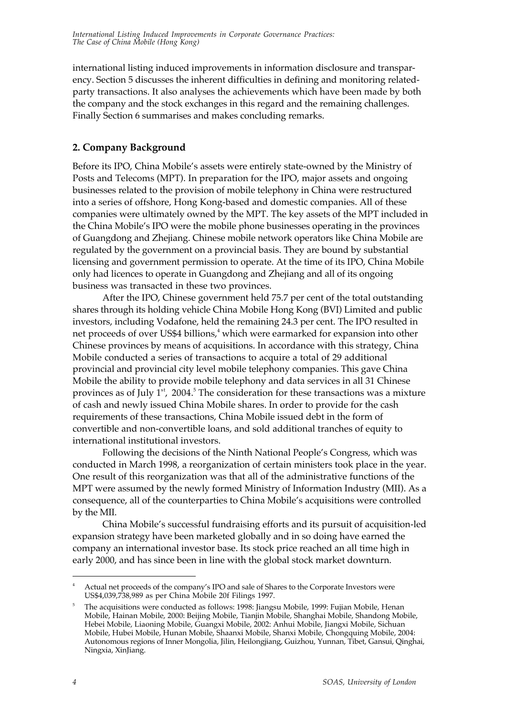international listing induced improvements in information disclosure and transparency. Section 5 discusses the inherent difficulties in defining and monitoring relatedparty transactions. It also analyses the achievements which have been made by both the company and the stock exchanges in this regard and the remaining challenges. Finally Section 6 summarises and makes concluding remarks.

# **2. Company Background**

Before its IPO, China Mobile's assets were entirely state-owned by the Ministry of Posts and Telecoms (MPT). In preparation for the IPO, major assets and ongoing businesses related to the provision of mobile telephony in China were restructured into a series of offshore, Hong Kong-based and domestic companies. All of these companies were ultimately owned by the MPT. The key assets of the MPT included in the China Mobile's IPO were the mobile phone businesses operating in the provinces of Guangdong and Zhejiang. Chinese mobile network operators like China Mobile are regulated by the government on a provincial basis. They are bound by substantial licensing and government permission to operate. At the time of its IPO, China Mobile only had licences to operate in Guangdong and Zhejiang and all of its ongoing business was transacted in these two provinces.

After the IPO, Chinese government held 75.7 per cent of the total outstanding shares through its holding vehicle China Mobile Hong Kong (BVI) Limited and public investors, including Vodafone, held the remaining 24.3 per cent. The IPO resulted in net proceeds of over US\$4 billions,<sup>4</sup> which were earmarked for expansion into other Chinese provinces by means of acquisitions. In accordance with this strategy, China Mobile conducted a series of transactions to acquire a total of 29 additional provincial and provincial city level mobile telephony companies. This gave China Mobile the ability to provide mobile telephony and data services in all 31 Chinese provinces as of July  $1<sup>st</sup>$ , 2004.<sup>5</sup> The consideration for these transactions was a mixture of cash and newly issued China Mobile shares. In order to provide for the cash requirements of these transactions, China Mobile issued debt in the form of convertible and non-convertible loans, and sold additional tranches of equity to international institutional investors.

Following the decisions of the Ninth National People's Congress, which was conducted in March 1998, a reorganization of certain ministers took place in the year. One result of this reorganization was that all of the administrative functions of the MPT were assumed by the newly formed Ministry of Information Industry (MII). As a consequence, all of the counterparties to China Mobile's acquisitions were controlled by the MII.

China Mobile's successful fundraising efforts and its pursuit of acquisition-led expansion strategy have been marketed globally and in so doing have earned the company an international investor base. Its stock price reached an all time high in early 2000, and has since been in line with the global stock market downturn.

<sup>4</sup> Actual net proceeds of the company's IPO and sale of Shares to the Corporate Investors were US\$4,039,738,989 as per China Mobile 20f Filings 1997.

<sup>5</sup> The acquisitions were conducted as follows: 1998: Jiangsu Mobile, 1999: Fujian Mobile, Henan Mobile, Hainan Mobile, 2000: Beijing Mobile, Tianjin Mobile, Shanghai Mobile, Shandong Mobile, Hebei Mobile, Liaoning Mobile, Guangxi Mobile, 2002: Anhui Mobile, Jiangxi Mobile, Sichuan Mobile, Hubei Mobile, Hunan Mobile, Shaanxi Mobile, Shanxi Mobile, Chongquing Mobile, 2004: Autonomous regions of Inner Mongolia, Jilin, Heilongjiang, Guizhou, Yunnan, Tibet, Gansui, Qinghai, Ningxia, XinJiang.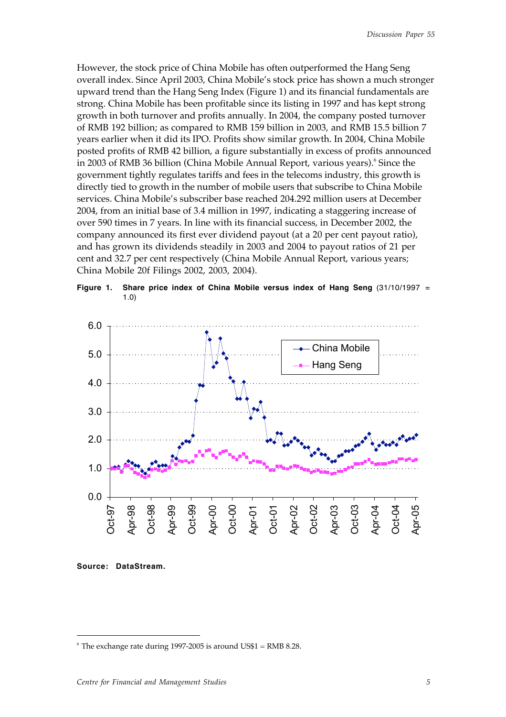However, the stock price of China Mobile has often outperformed the Hang Seng overall index. Since April 2003, China Mobile's stock price has shown a much stronger upward trend than the Hang Seng Index (Figure 1) and its financial fundamentals are strong. China Mobile has been profitable since its listing in 1997 and has kept strong growth in both turnover and profits annually. In 2004, the company posted turnover of RMB 192 billion; as compared to RMB 159 billion in 2003, and RMB 15.5 billion 7 years earlier when it did its IPO. Profits show similar growth. In 2004, China Mobile posted profits of RMB 42 billion, a figure substantially in excess of profits announced in 2003 of RMB 36 billion (China Mobile Annual Report, various years).<sup>6</sup> Since the government tightly regulates tariffs and fees in the telecoms industry, this growth is directly tied to growth in the number of mobile users that subscribe to China Mobile services. China Mobile's subscriber base reached 204.292 million users at December 2004, from an initial base of 3.4 million in 1997, indicating a staggering increase of over 590 times in 7 years. In line with its financial success, in December 2002, the company announced its first ever dividend payout (at a 20 per cent payout ratio), and has grown its dividends steadily in 2003 and 2004 to payout ratios of 21 per cent and 32.7 per cent respectively (China Mobile Annual Report, various years; China Mobile 20f Filings 2002, 2003, 2004).

**Figure 1. Share price index of China Mobile versus index of Hang Seng** (31/10/1997 = 1.0)



**Source: DataStream.**

 $6$  The exchange rate during 1997-2005 is around US\$1 = RMB 8.28.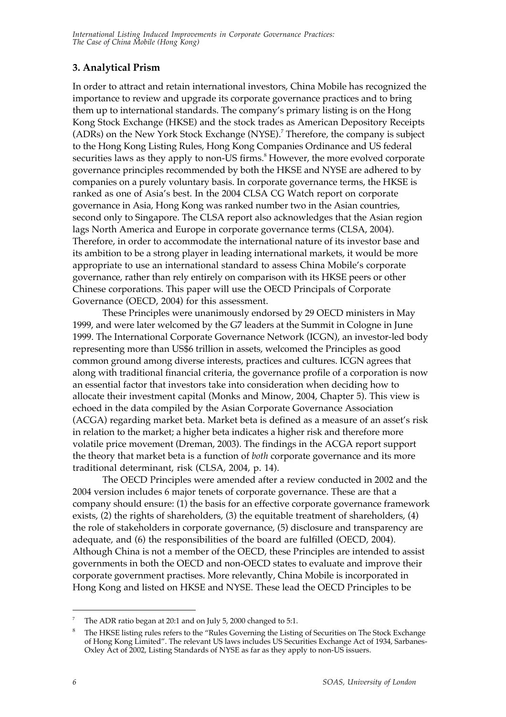# **3. Analytical Prism**

In order to attract and retain international investors, China Mobile has recognized the importance to review and upgrade its corporate governance practices and to bring them up to international standards. The company's primary listing is on the Hong Kong Stock Exchange (HKSE) and the stock trades as American Depository Receipts (ADRs) on the New York Stock Exchange (NYSE).<sup>7</sup> Therefore, the company is subject to the Hong Kong Listing Rules, Hong Kong Companies Ordinance and US federal securities laws as they apply to non-US firms.<sup>8</sup> However, the more evolved corporate governance principles recommended by both the HKSE and NYSE are adhered to by companies on a purely voluntary basis. In corporate governance terms, the HKSE is ranked as one of Asia's best. In the 2004 CLSA CG Watch report on corporate governance in Asia, Hong Kong was ranked number two in the Asian countries, second only to Singapore. The CLSA report also acknowledges that the Asian region lags North America and Europe in corporate governance terms (CLSA, 2004). Therefore, in order to accommodate the international nature of its investor base and its ambition to be a strong player in leading international markets, it would be more appropriate to use an international standard to assess China Mobile's corporate governance, rather than rely entirely on comparison with its HKSE peers or other Chinese corporations. This paper will use the OECD Principals of Corporate Governance (OECD, 2004) for this assessment.

These Principles were unanimously endorsed by 29 OECD ministers in May 1999, and were later welcomed by the G7 leaders at the Summit in Cologne in June 1999. The International Corporate Governance Network (ICGN), an investor-led body representing more than US\$6 trillion in assets, welcomed the Principles as good common ground among diverse interests, practices and cultures. ICGN agrees that along with traditional financial criteria, the governance profile of a corporation is now an essential factor that investors take into consideration when deciding how to allocate their investment capital (Monks and Minow, 2004, Chapter 5). This view is echoed in the data compiled by the Asian Corporate Governance Association (ACGA) regarding market beta. Market beta is defined as a measure of an asset's risk in relation to the market; a higher beta indicates a higher risk and therefore more volatile price movement (Dreman, 2003). The findings in the ACGA report support the theory that market beta is a function of *both* corporate governance and its more traditional determinant, risk (CLSA, 2004, p. 14).

The OECD Principles were amended after a review conducted in 2002 and the 2004 version includes 6 major tenets of corporate governance. These are that a company should ensure: (1) the basis for an effective corporate governance framework exists, (2) the rights of shareholders, (3) the equitable treatment of shareholders, (4) the role of stakeholders in corporate governance, (5) disclosure and transparency are adequate, and (6) the responsibilities of the board are fulfilled (OECD, 2004). Although China is not a member of the OECD, these Principles are intended to assist governments in both the OECD and non-OECD states to evaluate and improve their corporate government practises. More relevantly, China Mobile is incorporated in Hong Kong and listed on HKSE and NYSE. These lead the OECD Principles to be

<sup>7</sup> The ADR ratio began at 20:1 and on July 5, 2000 changed to 5:1.

<sup>8</sup> The HKSE listing rules refers to the "Rules Governing the Listing of Securities on The Stock Exchange of Hong Kong Limited". The relevant US laws includes US Securities Exchange Act of 1934, Sarbanes-Oxley Act of 2002, Listing Standards of NYSE as far as they apply to non-US issuers.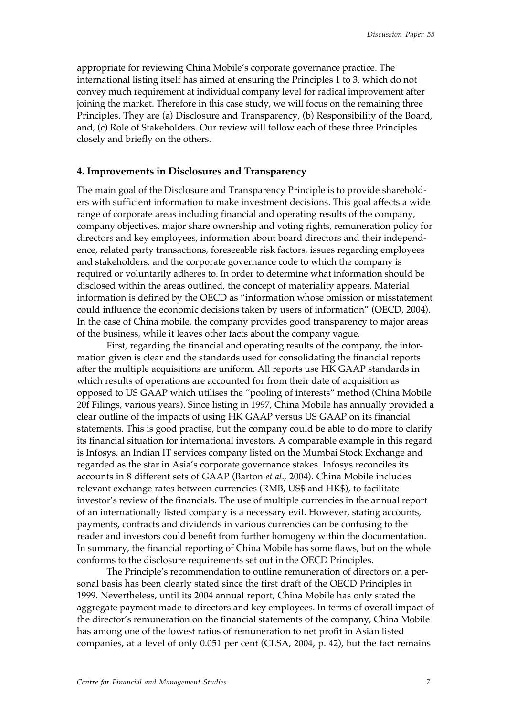appropriate for reviewing China Mobile's corporate governance practice. The international listing itself has aimed at ensuring the Principles 1 to 3, which do not convey much requirement at individual company level for radical improvement after joining the market. Therefore in this case study, we will focus on the remaining three Principles. They are (a) Disclosure and Transparency, (b) Responsibility of the Board, and, (c) Role of Stakeholders. Our review will follow each of these three Principles closely and briefly on the others.

### **4. Improvements in Disclosures and Transparency**

The main goal of the Disclosure and Transparency Principle is to provide shareholders with sufficient information to make investment decisions. This goal affects a wide range of corporate areas including financial and operating results of the company, company objectives, major share ownership and voting rights, remuneration policy for directors and key employees, information about board directors and their independence, related party transactions, foreseeable risk factors, issues regarding employees and stakeholders, and the corporate governance code to which the company is required or voluntarily adheres to. In order to determine what information should be disclosed within the areas outlined, the concept of materiality appears. Material information is defined by the OECD as "information whose omission or misstatement could influence the economic decisions taken by users of information" (OECD, 2004). In the case of China mobile, the company provides good transparency to major areas of the business, while it leaves other facts about the company vague.

First, regarding the financial and operating results of the company, the information given is clear and the standards used for consolidating the financial reports after the multiple acquisitions are uniform. All reports use HK GAAP standards in which results of operations are accounted for from their date of acquisition as opposed to US GAAP which utilises the "pooling of interests" method (China Mobile 20f Filings, various years). Since listing in 1997, China Mobile has annually provided a clear outline of the impacts of using HK GAAP versus US GAAP on its financial statements. This is good practise, but the company could be able to do more to clarify its financial situation for international investors. A comparable example in this regard is Infosys, an Indian IT services company listed on the Mumbai Stock Exchange and regarded as the star in Asia's corporate governance stakes. Infosys reconciles its accounts in 8 different sets of GAAP (Barton *et al*., 2004). China Mobile includes relevant exchange rates between currencies (RMB, US\$ and HK\$), to facilitate investor's review of the financials. The use of multiple currencies in the annual report of an internationally listed company is a necessary evil. However, stating accounts, payments, contracts and dividends in various currencies can be confusing to the reader and investors could benefit from further homogeny within the documentation. In summary, the financial reporting of China Mobile has some flaws, but on the whole conforms to the disclosure requirements set out in the OECD Principles.

The Principle's recommendation to outline remuneration of directors on a personal basis has been clearly stated since the first draft of the OECD Principles in 1999. Nevertheless, until its 2004 annual report, China Mobile has only stated the aggregate payment made to directors and key employees. In terms of overall impact of the director's remuneration on the financial statements of the company, China Mobile has among one of the lowest ratios of remuneration to net profit in Asian listed companies, at a level of only 0.051 per cent (CLSA, 2004, p. 42), but the fact remains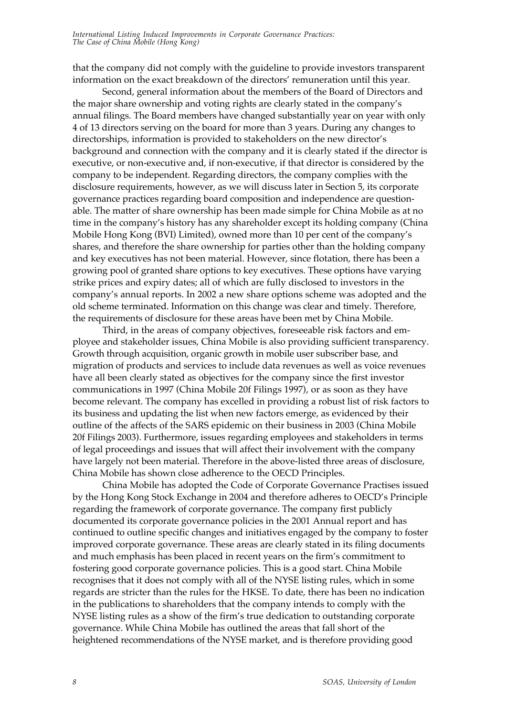that the company did not comply with the guideline to provide investors transparent information on the exact breakdown of the directors' remuneration until this year.

Second, general information about the members of the Board of Directors and the major share ownership and voting rights are clearly stated in the company's annual filings. The Board members have changed substantially year on year with only 4 of 13 directors serving on the board for more than 3 years. During any changes to directorships, information is provided to stakeholders on the new director's background and connection with the company and it is clearly stated if the director is executive, or non-executive and, if non-executive, if that director is considered by the company to be independent. Regarding directors, the company complies with the disclosure requirements, however, as we will discuss later in Section 5, its corporate governance practices regarding board composition and independence are questionable. The matter of share ownership has been made simple for China Mobile as at no time in the company's history has any shareholder except its holding company (China Mobile Hong Kong (BVI) Limited), owned more than 10 per cent of the company's shares, and therefore the share ownership for parties other than the holding company and key executives has not been material. However, since flotation, there has been a growing pool of granted share options to key executives. These options have varying strike prices and expiry dates; all of which are fully disclosed to investors in the company's annual reports. In 2002 a new share options scheme was adopted and the old scheme terminated. Information on this change was clear and timely. Therefore, the requirements of disclosure for these areas have been met by China Mobile.

Third, in the areas of company objectives, foreseeable risk factors and employee and stakeholder issues, China Mobile is also providing sufficient transparency. Growth through acquisition, organic growth in mobile user subscriber base, and migration of products and services to include data revenues as well as voice revenues have all been clearly stated as objectives for the company since the first investor communications in 1997 (China Mobile 20f Filings 1997), or as soon as they have become relevant. The company has excelled in providing a robust list of risk factors to its business and updating the list when new factors emerge, as evidenced by their outline of the affects of the SARS epidemic on their business in 2003 (China Mobile 20f Filings 2003). Furthermore, issues regarding employees and stakeholders in terms of legal proceedings and issues that will affect their involvement with the company have largely not been material. Therefore in the above-listed three areas of disclosure, China Mobile has shown close adherence to the OECD Principles.

China Mobile has adopted the Code of Corporate Governance Practises issued by the Hong Kong Stock Exchange in 2004 and therefore adheres to OECD's Principle regarding the framework of corporate governance. The company first publicly documented its corporate governance policies in the 2001 Annual report and has continued to outline specific changes and initiatives engaged by the company to foster improved corporate governance. These areas are clearly stated in its filing documents and much emphasis has been placed in recent years on the firm's commitment to fostering good corporate governance policies. This is a good start. China Mobile recognises that it does not comply with all of the NYSE listing rules, which in some regards are stricter than the rules for the HKSE. To date, there has been no indication in the publications to shareholders that the company intends to comply with the NYSE listing rules as a show of the firm's true dedication to outstanding corporate governance. While China Mobile has outlined the areas that fall short of the heightened recommendations of the NYSE market, and is therefore providing good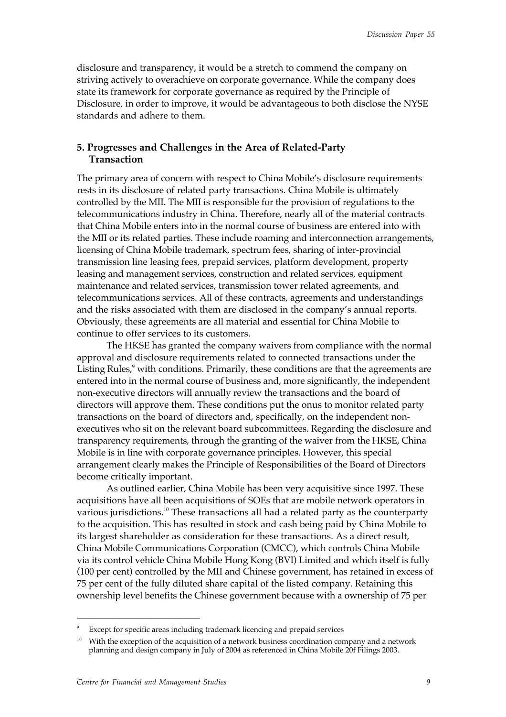disclosure and transparency, it would be a stretch to commend the company on striving actively to overachieve on corporate governance. While the company does state its framework for corporate governance as required by the Principle of Disclosure, in order to improve, it would be advantageous to both disclose the NYSE standards and adhere to them.

### **5. Progresses and Challenges in the Area of Related-Party Transaction**

The primary area of concern with respect to China Mobile's disclosure requirements rests in its disclosure of related party transactions. China Mobile is ultimately controlled by the MII. The MII is responsible for the provision of regulations to the telecommunications industry in China. Therefore, nearly all of the material contracts that China Mobile enters into in the normal course of business are entered into with the MII or its related parties. These include roaming and interconnection arrangements, licensing of China Mobile trademark, spectrum fees, sharing of inter-provincial transmission line leasing fees, prepaid services, platform development, property leasing and management services, construction and related services, equipment maintenance and related services, transmission tower related agreements, and telecommunications services. All of these contracts, agreements and understandings and the risks associated with them are disclosed in the company's annual reports. Obviously, these agreements are all material and essential for China Mobile to continue to offer services to its customers.

The HKSE has granted the company waivers from compliance with the normal approval and disclosure requirements related to connected transactions under the Listing Rules,<sup>9</sup> with conditions. Primarily, these conditions are that the agreements are entered into in the normal course of business and, more significantly, the independent non-executive directors will annually review the transactions and the board of directors will approve them. These conditions put the onus to monitor related party transactions on the board of directors and, specifically, on the independent nonexecutives who sit on the relevant board subcommittees. Regarding the disclosure and transparency requirements, through the granting of the waiver from the HKSE, China Mobile is in line with corporate governance principles. However, this special arrangement clearly makes the Principle of Responsibilities of the Board of Directors become critically important.

As outlined earlier, China Mobile has been very acquisitive since 1997. These acquisitions have all been acquisitions of SOEs that are mobile network operators in various jurisdictions.<sup>10</sup> These transactions all had a related party as the counterparty to the acquisition. This has resulted in stock and cash being paid by China Mobile to its largest shareholder as consideration for these transactions. As a direct result, China Mobile Communications Corporation (CMCC), which controls China Mobile via its control vehicle China Mobile Hong Kong (BVI) Limited and which itself is fully (100 per cent) controlled by the MII and Chinese government, has retained in excess of 75 per cent of the fully diluted share capital of the listed company. Retaining this ownership level benefits the Chinese government because with a ownership of 75 per

<sup>9</sup> Except for specific areas including trademark licencing and prepaid services

 $10$  With the exception of the acquisition of a network business coordination company and a network planning and design company in July of 2004 as referenced in China Mobile 20f Filings 2003.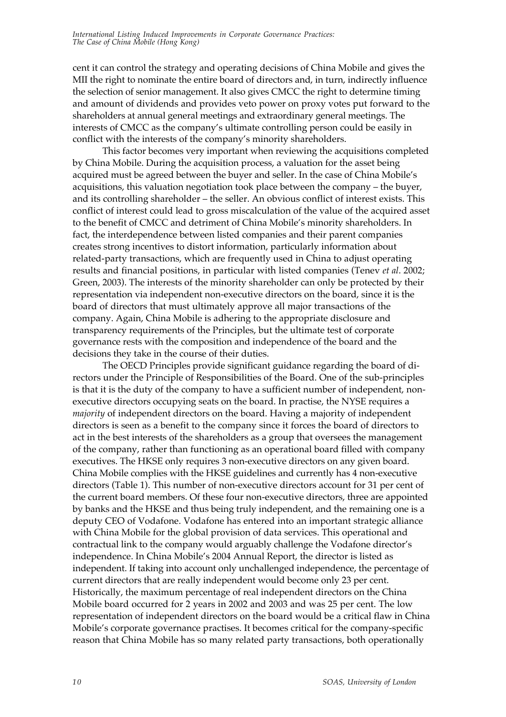cent it can control the strategy and operating decisions of China Mobile and gives the MII the right to nominate the entire board of directors and, in turn, indirectly influence the selection of senior management. It also gives CMCC the right to determine timing and amount of dividends and provides veto power on proxy votes put forward to the shareholders at annual general meetings and extraordinary general meetings. The interests of CMCC as the company's ultimate controlling person could be easily in conflict with the interests of the company's minority shareholders.

This factor becomes very important when reviewing the acquisitions completed by China Mobile. During the acquisition process, a valuation for the asset being acquired must be agreed between the buyer and seller. In the case of China Mobile's acquisitions, this valuation negotiation took place between the company – the buyer, and its controlling shareholder – the seller. An obvious conflict of interest exists. This conflict of interest could lead to gross miscalculation of the value of the acquired asset to the benefit of CMCC and detriment of China Mobile's minority shareholders. In fact, the interdependence between listed companies and their parent companies creates strong incentives to distort information, particularly information about related-party transactions, which are frequently used in China to adjust operating results and financial positions, in particular with listed companies (Tenev *et al*. 2002; Green, 2003). The interests of the minority shareholder can only be protected by their representation via independent non-executive directors on the board, since it is the board of directors that must ultimately approve all major transactions of the company. Again, China Mobile is adhering to the appropriate disclosure and transparency requirements of the Principles, but the ultimate test of corporate governance rests with the composition and independence of the board and the decisions they take in the course of their duties.

The OECD Principles provide significant guidance regarding the board of directors under the Principle of Responsibilities of the Board. One of the sub-principles is that it is the duty of the company to have a sufficient number of independent, nonexecutive directors occupying seats on the board. In practise, the NYSE requires a *majority* of independent directors on the board. Having a majority of independent directors is seen as a benefit to the company since it forces the board of directors to act in the best interests of the shareholders as a group that oversees the management of the company, rather than functioning as an operational board filled with company executives. The HKSE only requires 3 non-executive directors on any given board. China Mobile complies with the HKSE guidelines and currently has 4 non-executive directors (Table 1). This number of non-executive directors account for 31 per cent of the current board members. Of these four non-executive directors, three are appointed by banks and the HKSE and thus being truly independent, and the remaining one is a deputy CEO of Vodafone. Vodafone has entered into an important strategic alliance with China Mobile for the global provision of data services. This operational and contractual link to the company would arguably challenge the Vodafone director's independence. In China Mobile's 2004 Annual Report, the director is listed as independent. If taking into account only unchallenged independence, the percentage of current directors that are really independent would become only 23 per cent. Historically, the maximum percentage of real independent directors on the China Mobile board occurred for 2 years in 2002 and 2003 and was 25 per cent. The low representation of independent directors on the board would be a critical flaw in China Mobile's corporate governance practises. It becomes critical for the company-specific reason that China Mobile has so many related party transactions, both operationally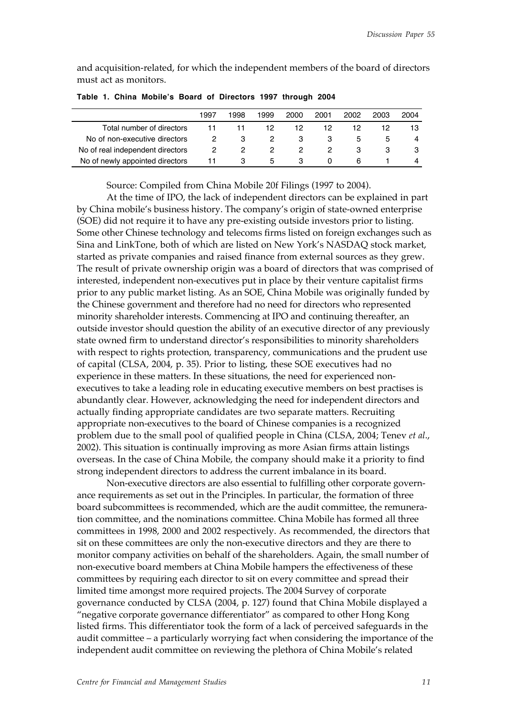and acquisition-related, for which the independent members of the board of directors must act as monitors.

|                                  | 1997 | 1998 | 1999         | 2000 | 2001 | 2002 | 2003 | 2004 |
|----------------------------------|------|------|--------------|------|------|------|------|------|
| Total number of directors        |      |      | 12           | 12   | 12.  | 12   |      |      |
| No of non-executive directors    |      |      |              |      |      |      |      |      |
| No of real independent directors |      |      |              |      |      |      |      |      |
| No of newly appointed directors  |      |      | $\mathbf{b}$ |      |      |      |      |      |

#### **Table 1. China Mobile's Board of Directors 1997 through 2004**

Source: Compiled from China Mobile 20f Filings (1997 to 2004).

At the time of IPO, the lack of independent directors can be explained in part by China mobile's business history. The company's origin of state-owned enterprise (SOE) did not require it to have any pre-existing outside investors prior to listing. Some other Chinese technology and telecoms firms listed on foreign exchanges such as Sina and LinkTone, both of which are listed on New York's NASDAQ stock market, started as private companies and raised finance from external sources as they grew. The result of private ownership origin was a board of directors that was comprised of interested, independent non-executives put in place by their venture capitalist firms prior to any public market listing. As an SOE, China Mobile was originally funded by the Chinese government and therefore had no need for directors who represented minority shareholder interests. Commencing at IPO and continuing thereafter, an outside investor should question the ability of an executive director of any previously state owned firm to understand director's responsibilities to minority shareholders with respect to rights protection, transparency, communications and the prudent use of capital (CLSA, 2004, p. 35). Prior to listing, these SOE executives had no experience in these matters. In these situations, the need for experienced nonexecutives to take a leading role in educating executive members on best practises is abundantly clear. However, acknowledging the need for independent directors and actually finding appropriate candidates are two separate matters. Recruiting appropriate non-executives to the board of Chinese companies is a recognized problem due to the small pool of qualified people in China (CLSA, 2004; Tenev *et al*., 2002). This situation is continually improving as more Asian firms attain listings overseas. In the case of China Mobile, the company should make it a priority to find strong independent directors to address the current imbalance in its board.

Non-executive directors are also essential to fulfilling other corporate governance requirements as set out in the Principles. In particular, the formation of three board subcommittees is recommended, which are the audit committee, the remuneration committee, and the nominations committee. China Mobile has formed all three committees in 1998, 2000 and 2002 respectively. As recommended, the directors that sit on these committees are only the non-executive directors and they are there to monitor company activities on behalf of the shareholders. Again, the small number of non-executive board members at China Mobile hampers the effectiveness of these committees by requiring each director to sit on every committee and spread their limited time amongst more required projects. The 2004 Survey of corporate governance conducted by CLSA (2004, p. 127) found that China Mobile displayed a "negative corporate governance differentiator" as compared to other Hong Kong listed firms. This differentiator took the form of a lack of perceived safeguards in the audit committee – a particularly worrying fact when considering the importance of the independent audit committee on reviewing the plethora of China Mobile's related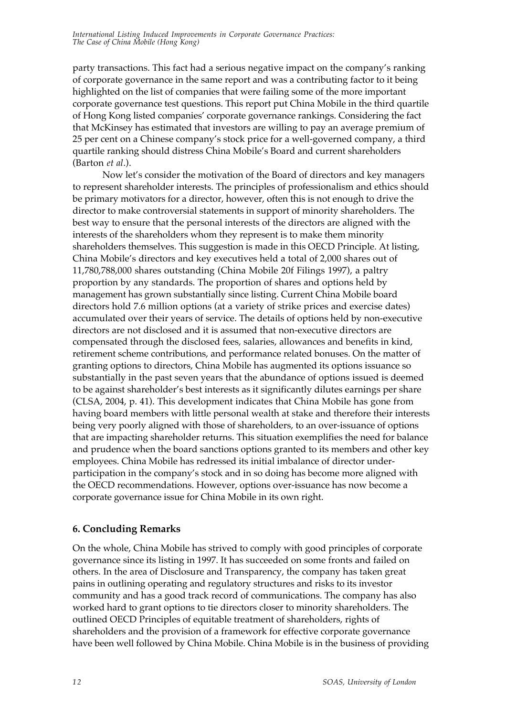party transactions. This fact had a serious negative impact on the company's ranking of corporate governance in the same report and was a contributing factor to it being highlighted on the list of companies that were failing some of the more important corporate governance test questions. This report put China Mobile in the third quartile of Hong Kong listed companies' corporate governance rankings. Considering the fact that McKinsey has estimated that investors are willing to pay an average premium of 25 per cent on a Chinese company's stock price for a well-governed company, a third quartile ranking should distress China Mobile's Board and current shareholders (Barton *et al*.).

Now let's consider the motivation of the Board of directors and key managers to represent shareholder interests. The principles of professionalism and ethics should be primary motivators for a director, however, often this is not enough to drive the director to make controversial statements in support of minority shareholders. The best way to ensure that the personal interests of the directors are aligned with the interests of the shareholders whom they represent is to make them minority shareholders themselves. This suggestion is made in this OECD Principle. At listing, China Mobile's directors and key executives held a total of 2,000 shares out of 11,780,788,000 shares outstanding (China Mobile 20f Filings 1997), a paltry proportion by any standards. The proportion of shares and options held by management has grown substantially since listing. Current China Mobile board directors hold 7.6 million options (at a variety of strike prices and exercise dates) accumulated over their years of service. The details of options held by non-executive directors are not disclosed and it is assumed that non-executive directors are compensated through the disclosed fees, salaries, allowances and benefits in kind, retirement scheme contributions, and performance related bonuses. On the matter of granting options to directors, China Mobile has augmented its options issuance so substantially in the past seven years that the abundance of options issued is deemed to be against shareholder's best interests as it significantly dilutes earnings per share (CLSA, 2004, p. 41). This development indicates that China Mobile has gone from having board members with little personal wealth at stake and therefore their interests being very poorly aligned with those of shareholders, to an over-issuance of options that are impacting shareholder returns. This situation exemplifies the need for balance and prudence when the board sanctions options granted to its members and other key employees. China Mobile has redressed its initial imbalance of director underparticipation in the company's stock and in so doing has become more aligned with the OECD recommendations. However, options over-issuance has now become a corporate governance issue for China Mobile in its own right.

# **6. Concluding Remarks**

On the whole, China Mobile has strived to comply with good principles of corporate governance since its listing in 1997. It has succeeded on some fronts and failed on others. In the area of Disclosure and Transparency, the company has taken great pains in outlining operating and regulatory structures and risks to its investor community and has a good track record of communications. The company has also worked hard to grant options to tie directors closer to minority shareholders. The outlined OECD Principles of equitable treatment of shareholders, rights of shareholders and the provision of a framework for effective corporate governance have been well followed by China Mobile. China Mobile is in the business of providing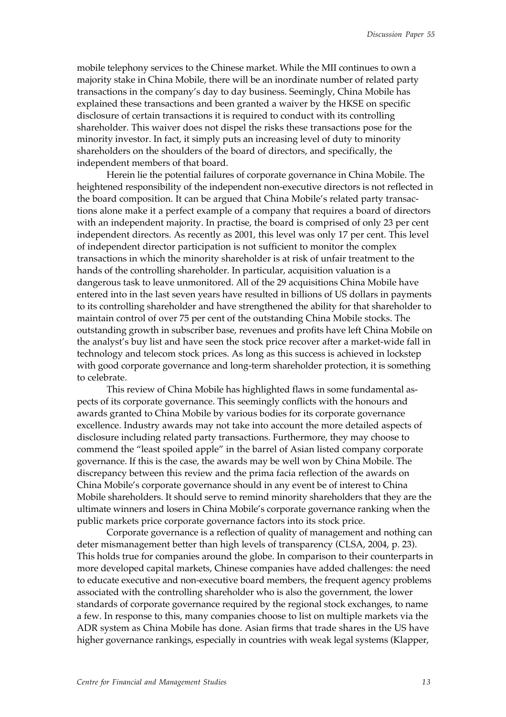mobile telephony services to the Chinese market. While the MII continues to own a majority stake in China Mobile, there will be an inordinate number of related party transactions in the company's day to day business. Seemingly, China Mobile has explained these transactions and been granted a waiver by the HKSE on specific disclosure of certain transactions it is required to conduct with its controlling shareholder. This waiver does not dispel the risks these transactions pose for the minority investor. In fact, it simply puts an increasing level of duty to minority shareholders on the shoulders of the board of directors, and specifically, the independent members of that board.

Herein lie the potential failures of corporate governance in China Mobile. The heightened responsibility of the independent non-executive directors is not reflected in the board composition. It can be argued that China Mobile's related party transactions alone make it a perfect example of a company that requires a board of directors with an independent majority. In practise, the board is comprised of only 23 per cent independent directors. As recently as 2001, this level was only 17 per cent. This level of independent director participation is not sufficient to monitor the complex transactions in which the minority shareholder is at risk of unfair treatment to the hands of the controlling shareholder. In particular, acquisition valuation is a dangerous task to leave unmonitored. All of the 29 acquisitions China Mobile have entered into in the last seven years have resulted in billions of US dollars in payments to its controlling shareholder and have strengthened the ability for that shareholder to maintain control of over 75 per cent of the outstanding China Mobile stocks. The outstanding growth in subscriber base, revenues and profits have left China Mobile on the analyst's buy list and have seen the stock price recover after a market-wide fall in technology and telecom stock prices. As long as this success is achieved in lockstep with good corporate governance and long-term shareholder protection, it is something to celebrate.

This review of China Mobile has highlighted flaws in some fundamental aspects of its corporate governance. This seemingly conflicts with the honours and awards granted to China Mobile by various bodies for its corporate governance excellence. Industry awards may not take into account the more detailed aspects of disclosure including related party transactions. Furthermore, they may choose to commend the "least spoiled apple" in the barrel of Asian listed company corporate governance. If this is the case, the awards may be well won by China Mobile. The discrepancy between this review and the prima facia reflection of the awards on China Mobile's corporate governance should in any event be of interest to China Mobile shareholders. It should serve to remind minority shareholders that they are the ultimate winners and losers in China Mobile's corporate governance ranking when the public markets price corporate governance factors into its stock price.

Corporate governance is a reflection of quality of management and nothing can deter mismanagement better than high levels of transparency (CLSA, 2004, p. 23). This holds true for companies around the globe. In comparison to their counterparts in more developed capital markets, Chinese companies have added challenges: the need to educate executive and non-executive board members, the frequent agency problems associated with the controlling shareholder who is also the government, the lower standards of corporate governance required by the regional stock exchanges, to name a few. In response to this, many companies choose to list on multiple markets via the ADR system as China Mobile has done. Asian firms that trade shares in the US have higher governance rankings, especially in countries with weak legal systems (Klapper,